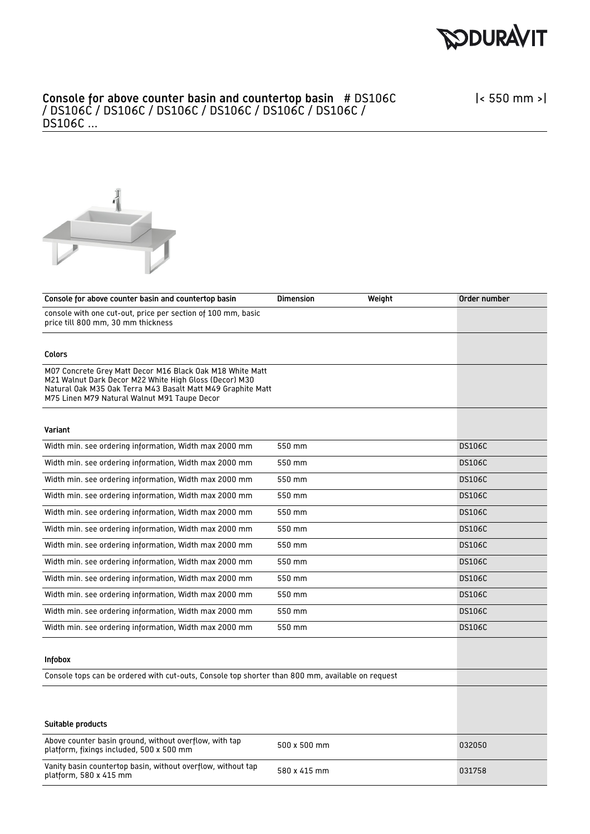



| Console for above counter basin and countertop basin                                                                                                                                                                               | <b>Dimension</b> | Weight | Order number  |
|------------------------------------------------------------------------------------------------------------------------------------------------------------------------------------------------------------------------------------|------------------|--------|---------------|
| console with one cut-out, price per section of 100 mm, basic<br>price till 800 mm, 30 mm thickness                                                                                                                                 |                  |        |               |
|                                                                                                                                                                                                                                    |                  |        |               |
| Colors                                                                                                                                                                                                                             |                  |        |               |
| M07 Concrete Grey Matt Decor M16 Black Oak M18 White Matt<br>M21 Walnut Dark Decor M22 White High Gloss (Decor) M30<br>Natural Oak M35 Oak Terra M43 Basalt Matt M49 Graphite Matt<br>M75 Linen M79 Natural Walnut M91 Taupe Decor |                  |        |               |
| Variant                                                                                                                                                                                                                            |                  |        |               |
| Width min. see ordering information, Width max 2000 mm                                                                                                                                                                             | 550 mm           |        | <b>DS106C</b> |
| Width min. see ordering information, Width max 2000 mm                                                                                                                                                                             | 550 mm           |        | <b>DS106C</b> |
| Width min. see ordering information, Width max 2000 mm                                                                                                                                                                             | 550 mm           |        | <b>DS106C</b> |
| Width min. see ordering information, Width max 2000 mm                                                                                                                                                                             | 550 mm           |        | <b>DS106C</b> |
| Width min. see ordering information, Width max 2000 mm                                                                                                                                                                             | 550 mm           |        | <b>DS106C</b> |
| Width min. see ordering information, Width max 2000 mm                                                                                                                                                                             | 550 mm           |        | <b>DS106C</b> |
| Width min. see ordering information, Width max 2000 mm                                                                                                                                                                             | 550 mm           |        | <b>DS106C</b> |
| Width min. see ordering information, Width max 2000 mm                                                                                                                                                                             | 550 mm           |        | <b>DS106C</b> |
| Width min. see ordering information, Width max 2000 mm                                                                                                                                                                             | 550 mm           |        | <b>DS106C</b> |
| Width min. see ordering information, Width max 2000 mm                                                                                                                                                                             | 550 mm           |        | <b>DS106C</b> |
| Width min. see ordering information, Width max 2000 mm                                                                                                                                                                             | 550 mm           |        | <b>DS106C</b> |
| Width min. see ordering information, Width max 2000 mm                                                                                                                                                                             | 550 mm           |        | <b>DS106C</b> |
| <b>Infobox</b>                                                                                                                                                                                                                     |                  |        |               |
| Console tops can be ordered with cut-outs, Console top shorter than 800 mm, available on request                                                                                                                                   |                  |        |               |
|                                                                                                                                                                                                                                    |                  |        |               |
|                                                                                                                                                                                                                                    |                  |        |               |
| Suitable products                                                                                                                                                                                                                  |                  |        |               |
| Above counter basin ground, without overflow, with tap<br>platform, fixings included, 500 x 500 mm                                                                                                                                 | 500 x 500 mm     |        | 032050        |
| Vanity basin countertop basin, without overflow, without tap<br>platform, 580 x 415 mm                                                                                                                                             | 580 x 415 mm     |        | 031758        |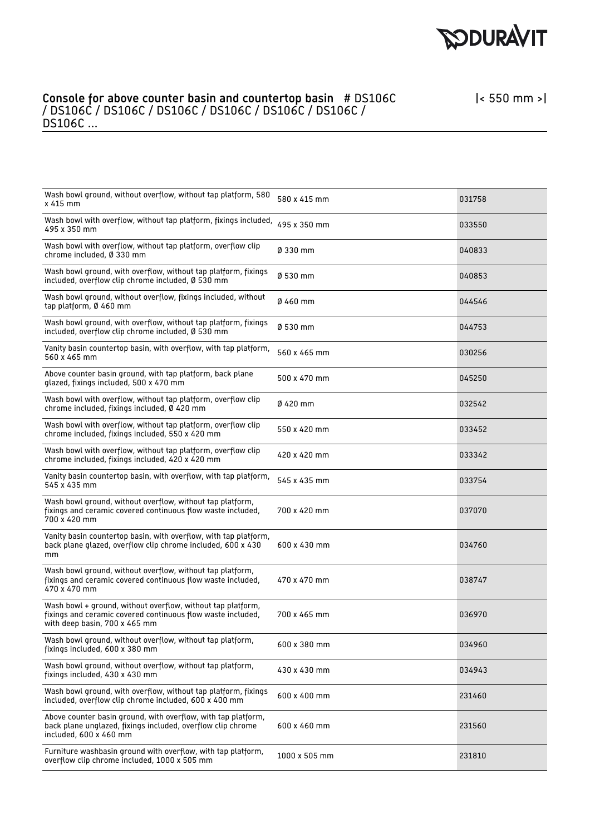

| Wash bowl ground, without overflow, without tap platform, 580<br>x 415 mm                                                                                   | 580 x 415 mm  | 031758 |
|-------------------------------------------------------------------------------------------------------------------------------------------------------------|---------------|--------|
| Wash bowl with overflow, without tap platform, fixings included, 495 x 350 mm<br>495 x 350 mm                                                               |               | 033550 |
| Wash bowl with overflow, without tap platform, overflow clip<br>chrome included, Ø 330 mm                                                                   | Ø 330 mm      | 040833 |
| Wash bowl ground, with overflow, without tap platform, fixings<br>included, overflow clip chrome included, Ø 530 mm                                         | Ø 530 mm      | 040853 |
| Wash bowl ground, without overflow, fixings included, without<br>tap platform, Ø 460 mm                                                                     | Ø 460 mm      | 044546 |
| Wash bowl ground, with overflow, without tap platform, fixings<br>included, overflow clip chrome included, Ø 530 mm                                         | Ø 530 mm      | 044753 |
| Vanity basin countertop basin, with overflow, with tap platform,<br>560 x 465 mm                                                                            | 560 x 465 mm  | 030256 |
| Above counter basin ground, with tap platform, back plane<br>glazed, fixings included, 500 x 470 mm                                                         | 500 x 470 mm  | 045250 |
| Wash bowl with overflow, without tap platform, overflow clip<br>chrome included, fixings included, Ø 420 mm                                                 | Ø 420 mm      | 032542 |
| Wash bowl with overflow, without tap platform, overflow clip<br>chrome included, fixings included, 550 x 420 mm                                             | 550 x 420 mm  | 033452 |
| Wash bowl with overflow, without tap platform, overflow clip<br>chrome included, fixings included, 420 x 420 mm                                             | 420 x 420 mm  | 033342 |
| Vanity basin countertop basin, with overflow, with tap platform,<br>545 x 435 mm                                                                            | 545 x 435 mm  | 033754 |
| Wash bowl ground, without overflow, without tap platform,<br>fixings and ceramic covered continuous flow waste included,<br>700 x 420 mm                    | 700 x 420 mm  | 037070 |
| Vanity basin countertop basin, with overflow, with tap platform,<br>back plane glazed, overflow clip chrome included, 600 x 430<br>mm                       | 600 x 430 mm  | 034760 |
| Wash bowl ground, without overflow, without tap platform,<br>fixings and ceramic covered continuous flow waste included,<br>470 x 470 mm                    | 470 x 470 mm  | 038747 |
| Wash bowl + ground, without overflow, without tap platform,<br>fixings and ceramic covered continuous flow waste included,<br>with deep basin, 700 x 465 mm | 700 x 465 mm  | 036970 |
| Wash bowl ground, without overflow, without tap platform,<br>fixings included, 600 x 380 mm                                                                 | 600 x 380 mm  | 034960 |
| Wash bowl ground, without overflow, without tap platform,<br>fixings included, 430 x 430 mm                                                                 | 430 x 430 mm  | 034943 |
| Wash bowl ground, with overflow, without tap platform, fixings<br>included, overflow clip chrome included, 600 x 400 mm                                     | 600 x 400 mm  | 231460 |
| Above counter basin ground, with overflow, with tap platform,<br>back plane unglazed, fixings included, overflow clip chrome<br>included, 600 x 460 mm      | 600 x 460 mm  | 231560 |
| Furniture washbasin ground with overflow, with tap platform,<br>overflow clip chrome included, 1000 x 505 mm                                                | 1000 x 505 mm | 231810 |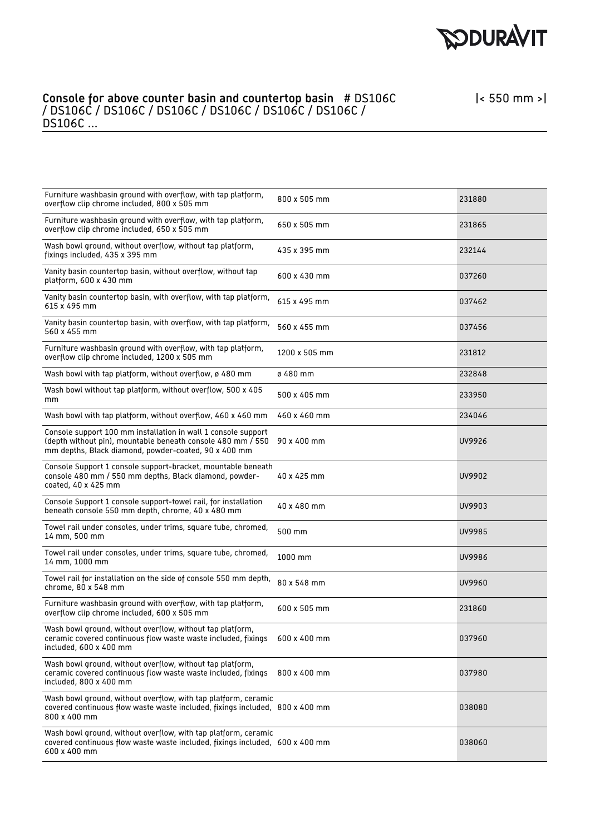

| 800 x 505 mm                                                                                                                   | 231880                                                                                                                                                                                                                         |
|--------------------------------------------------------------------------------------------------------------------------------|--------------------------------------------------------------------------------------------------------------------------------------------------------------------------------------------------------------------------------|
| 650 x 505 mm                                                                                                                   | 231865                                                                                                                                                                                                                         |
| 435 x 395 mm                                                                                                                   | 232144                                                                                                                                                                                                                         |
| 600 x 430 mm                                                                                                                   | 037260                                                                                                                                                                                                                         |
| 615 x 495 mm                                                                                                                   | 037462                                                                                                                                                                                                                         |
| 560 x 455 mm                                                                                                                   | 037456                                                                                                                                                                                                                         |
| 1200 x 505 mm                                                                                                                  | 231812                                                                                                                                                                                                                         |
| ø 480 mm                                                                                                                       | 232848                                                                                                                                                                                                                         |
| 500 x 405 mm                                                                                                                   | 233950                                                                                                                                                                                                                         |
| 460 x 460 mm                                                                                                                   | 234046                                                                                                                                                                                                                         |
| 90 x 400 mm                                                                                                                    | UV9926                                                                                                                                                                                                                         |
| 40 x 425 mm                                                                                                                    | UV9902                                                                                                                                                                                                                         |
| 40 x 480 mm                                                                                                                    | UV9903                                                                                                                                                                                                                         |
| 500 mm                                                                                                                         | UV9985                                                                                                                                                                                                                         |
| 1000 mm                                                                                                                        | UV9986                                                                                                                                                                                                                         |
| 80 x 548 mm                                                                                                                    | UV9960                                                                                                                                                                                                                         |
| 600 x 505 mm                                                                                                                   | 231860                                                                                                                                                                                                                         |
| 600 x 400 mm                                                                                                                   | 037960                                                                                                                                                                                                                         |
| 800 x 400 mm                                                                                                                   | 037980                                                                                                                                                                                                                         |
|                                                                                                                                | 038080                                                                                                                                                                                                                         |
|                                                                                                                                | 038060                                                                                                                                                                                                                         |
| Console Support 1 console support-bracket, mountable beneath<br>Wash bowl ground, without overflow, with tap platform, ceramic | Wash bowl ground, without overflow, with tap platform, ceramic<br>covered continuous flow waste waste included, fixings included, 800 x 400 mm<br>covered continuous flow waste waste included, fixings included, 600 x 400 mm |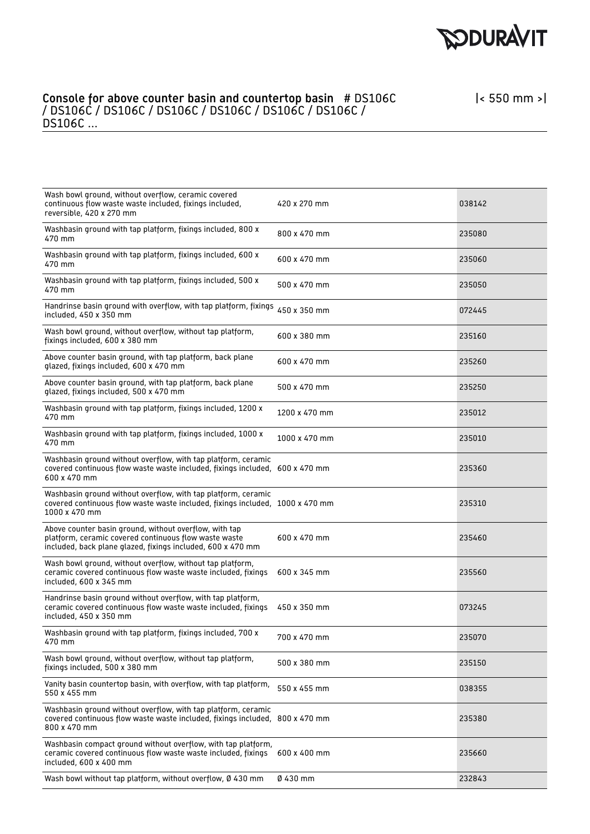

| Wash bowl ground, without overflow, ceramic covered<br>continuous flow waste waste included, fixings included,<br>reversible, 420 x 270 mm                                     | 420 x 270 mm  | 038142 |
|--------------------------------------------------------------------------------------------------------------------------------------------------------------------------------|---------------|--------|
| Washbasin ground with tap platform, fixings included, 800 x<br>470 mm                                                                                                          | 800 x 470 mm  | 235080 |
| Washbasin ground with tap platform, fixings included, 600 x<br>470 mm                                                                                                          | 600 x 470 mm  | 235060 |
| Washbasin ground with tap platform, fixings included, 500 x<br>470 mm                                                                                                          | 500 x 470 mm  | 235050 |
| Handrinse basin ground with overflow, with tap platform, fixings<br>included, 450 x 350 mm                                                                                     | 450 x 350 mm  | 072445 |
| Wash bowl ground, without overflow, without tap platform,<br>fixings included, 600 x 380 mm                                                                                    | 600 x 380 mm  | 235160 |
| Above counter basin ground, with tap platform, back plane<br>glazed, fixings included, 600 x 470 mm                                                                            | 600 x 470 mm  | 235260 |
| Above counter basin ground, with tap platform, back plane<br>glazed, fixings included, 500 x 470 mm                                                                            | 500 x 470 mm  | 235250 |
| Washbasin ground with tap platform, fixings included, 1200 x<br>470 mm                                                                                                         | 1200 x 470 mm | 235012 |
| Washbasin ground with tap platform, fixings included, 1000 x<br>470 mm                                                                                                         | 1000 x 470 mm | 235010 |
| Washbasin ground without overflow, with tap platform, ceramic<br>covered continuous flow waste waste included, fixings included, 600 x 470 mm<br>600 x 470 mm                  |               | 235360 |
| Washbasin ground without overflow, with tap platform, ceramic<br>covered continuous flow waste waste included, fixings included, 1000 x 470 mm<br>1000 x 470 mm                |               | 235310 |
| Above counter basin ground, without overflow, with tap<br>platform, ceramic covered continuous flow waste waste<br>included, back plane glazed, fixings included, 600 x 470 mm | 600 x 470 mm  | 235460 |
| Wash bowl ground, without overflow, without tap platform,<br>ceramic covered continuous flow waste waste included, fixings<br>included, 600 x 345 mm                           | 600 x 345 mm  | 235560 |
| Handrinse basin ground without overflow, with tap platform,<br>ceramic covered continuous flow waste waste included, fixings<br>included, 450 x 350 mm                         | 450 x 350 mm  | 073245 |
| Washbasin ground with tap platform, fixings included, 700 x<br>470 mm                                                                                                          | 700 x 470 mm  | 235070 |
| Wash bowl ground, without overflow, without tap platform,<br>fixings included, 500 x 380 mm                                                                                    | 500 x 380 mm  | 235150 |
| Vanity basin countertop basin, with overflow, with tap platform,<br>550 x 455 mm                                                                                               | 550 x 455 mm  | 038355 |
| Washbasin ground without overflow, with tap platform, ceramic<br>covered continuous flow waste waste included, fixings included,<br>800 x 470 mm                               | 800 x 470 mm  | 235380 |
| Washbasin compact ground without overflow, with tap platform,<br>ceramic covered continuous flow waste waste included, fixings<br>included, 600 x 400 mm                       | 600 x 400 mm  | 235660 |
| Wash bowl without tap platform, without overflow, Ø 430 mm                                                                                                                     | Ø 430 mm      | 232843 |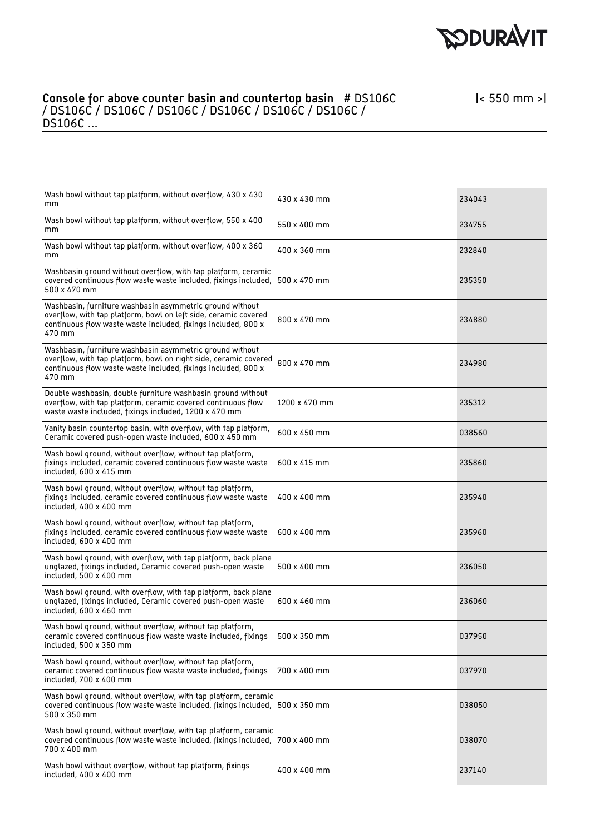

| Wash bowl without tap platform, without overflow, 430 x 430<br>mm                                                                                                                                       | 430 x 430 mm  | 234043 |
|---------------------------------------------------------------------------------------------------------------------------------------------------------------------------------------------------------|---------------|--------|
| Wash bowl without tap platform, without overflow, 550 x 400<br>mm                                                                                                                                       | 550 x 400 mm  | 234755 |
| Wash bowl without tap platform, without overflow, 400 x 360<br>mm                                                                                                                                       | 400 x 360 mm  | 232840 |
| Washbasin ground without overflow, with tap platform, ceramic<br>covered continuous flow waste waste included, fixings included, 500 x 470 mm<br>500 x 470 mm                                           |               | 235350 |
| Washbasin, furniture washbasin asymmetric ground without<br>overflow, with tap platform, bowl on left side, ceramic covered<br>continuous flow waste waste included, fixings included, 800 x<br>470 mm  | 800 x 470 mm  | 234880 |
| Washbasin, furniture washbasin asymmetric ground without<br>overflow, with tap platform, bowl on right side, ceramic covered<br>continuous flow waste waste included, fixings included, 800 x<br>470 mm | 800 x 470 mm  | 234980 |
| Double washbasin, double furniture washbasin ground without<br>overflow, with tap platform, ceramic covered continuous flow<br>waste waste included, fixings included, 1200 x 470 mm                    | 1200 x 470 mm | 235312 |
| Vanity basin countertop basin, with overflow, with tap platform,<br>Ceramic covered push-open waste included, 600 x 450 mm                                                                              | 600 x 450 mm  | 038560 |
| Wash bowl ground, without overflow, without tap platform,<br>fixings included, ceramic covered continuous flow waste waste<br>included, 600 x 415 mm                                                    | 600 x 415 mm  | 235860 |
| Wash bowl ground, without overflow, without tap platform,<br>fixings included, ceramic covered continuous flow waste waste<br>included, 400 x 400 mm                                                    | 400 x 400 mm  | 235940 |
| Wash bowl ground, without overflow, without tap platform,<br>fixings included, ceramic covered continuous flow waste waste<br>included, 600 x 400 mm                                                    | 600 x 400 mm  | 235960 |
| Wash bowl ground, with overflow, with tap platform, back plane<br>unglazed, fixings included, Ceramic covered push-open waste<br>included, 500 x 400 mm                                                 | 500 x 400 mm  | 236050 |
| Wash bowl ground, with overflow, with tap platform, back plane<br>unglazed, fixings included, Ceramic covered push-open waste<br>included, 600 x 460 mm                                                 | 600 x 460 mm  | 236060 |
| Wash bowl ground, without overflow, without tap platform,<br>ceramic covered continuous flow waste waste included, fixings<br>included, 500 x 350 mm                                                    | 500 x 350 mm  | 037950 |
| Wash bowl ground, without overflow, without tap platform,<br>ceramic covered continuous flow waste waste included, fixings<br>included, 700 x 400 mm                                                    | 700 x 400 mm  | 037970 |
| Wash bowl ground, without overflow, with tap platform, ceramic<br>covered continuous flow waste waste included, fixings included, 500 x 350 mm<br>500 x 350 mm                                          |               | 038050 |
| Wash bowl ground, without overflow, with tap platform, ceramic<br>covered continuous flow waste waste included, fixings included, 700 x 400 mm<br>700 x 400 mm                                          |               | 038070 |
| Wash bowl without overflow, without tap platform, fixings<br>included, 400 x 400 mm                                                                                                                     | 400 x 400 mm  | 237140 |